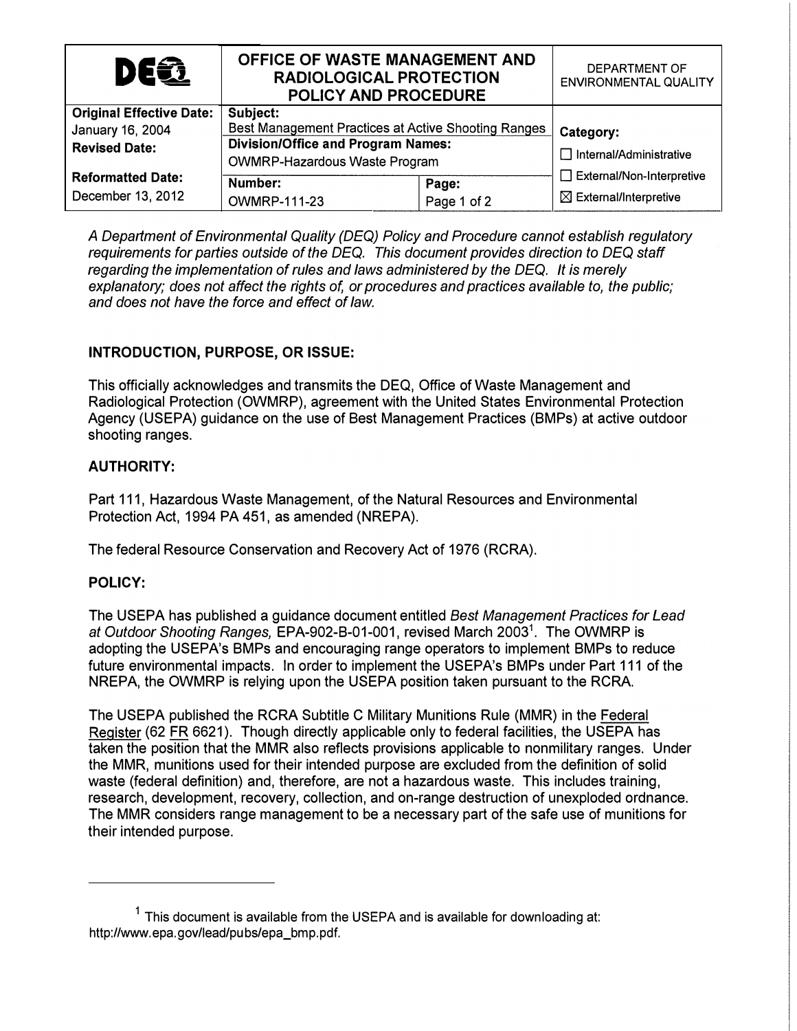| <b>DEE</b>                      | OFFICE OF WASTE MANAGEMENT AND<br><b>RADIOLOGICAL PROTECTION</b><br>POLICY AND PROCEDURE |             | DEPARTMENT OF<br><b>ENVIRONMENTAL QUALITY</b> |
|---------------------------------|------------------------------------------------------------------------------------------|-------------|-----------------------------------------------|
| <b>Original Effective Date:</b> | Subject:                                                                                 |             |                                               |
| January 16, 2004                | Best Management Practices at Active Shooting Ranges                                      |             | <b>Category:</b>                              |
| <b>Revised Date:</b>            | <b>Division/Office and Program Names:</b>                                                |             |                                               |
|                                 | <b>OWMRP-Hazardous Waste Program</b>                                                     |             | □ Internal/Administrative                     |
| <b>Reformatted Date:</b>        |                                                                                          |             | $\Box$ External/Non-Interpretive              |
|                                 | Number:                                                                                  | Page:       |                                               |
| December 13, 2012               | <b>OWMRP-111-23</b>                                                                      | Page 1 of 2 | $\boxtimes$ External/Interpretive             |

A Department of Environmental Quality (DEQ) Policy and Procedure cannot establish regulatory requirements for parties outside of the DEQ. This document provides direction to DEQ staff regarding the implementation of rules and laws administered by the DEQ. It is merely explanatory; does not affect the rights of, or procedures and practices available to, the public; and does not have the force and effect of law.

# INTRODUCTION, PURPOSE, OR ISSUE:

This officially acknowledges and transmits the DEQ, Office of Waste Management and Radiological Protection (OWMRP), agreement with the United States Environmental Protection Agency (USEPA) guidance on the use of Best Management Practices (BMPs) at active outdoor shooting ranges.

### AUTHORITY:

Part 111, Hazardous Waste Management, of the Natural Resources and Environmental Protection Act, 1994 PA 451, as amended (NREPA).

The federal Resource Conservation and Recovery Act of 1976 (RCRA).

### POLICY:

The USEPA has published a guidance document entitled Best Management Practices for Lead at Outdoor Shooting Ranges, EPA-902-B-01-001, revised March 2003<sup>1</sup>. The OWMRP is adopting the USEPA's BMPs and encouraging range operators to implement BMPs to reduce future environmental impacts. In order to implement the USEPA's BMPs under Part 111 of the NREPA, the OWMRP is relying upon the USEPA position taken pursuant to the RCRA.

The USEPA published the RCRA Subtitle C Military Munitions Rule (MMR) in the Federal Register (62 FR 6621). Though directly applicable only to federal facilities, the USEPA has taken the position that the MMR also reflects provisions applicable to nonmilitary ranges. Under the MMR, munitions used for their intended purpose are excluded from the definition of solid waste (federal definition) and, therefore, are not a hazardous waste. This includes training, research, development, recovery, collection, and on-range destruction of unexploded ordnance. The MMR considers range management to be a necessary part of the safe use of munitions for their intended purpose.

 $1$  This document is available from the USEPA and is available for downloading at: http://www. epa. gov/lead/pu bs/epa\_bmp. pdf.